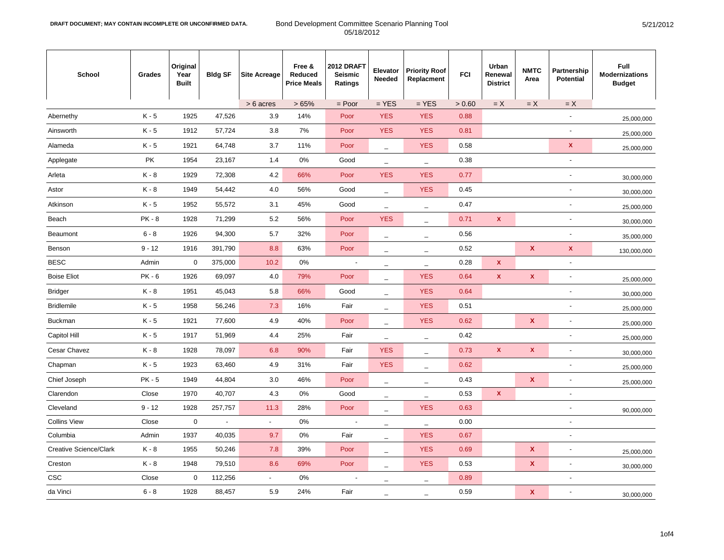| School                        | Grades   | Original<br>Year<br><b>Built</b> | <b>Bldg SF</b> | <b>Site Acreage</b>      | Free &<br>Reduced<br><b>Price Meals</b> | 2012 DRAFT<br>Seismic<br>Ratings | Elevator<br>Needed              | <b>Priority Roof</b><br>Replacment | <b>FCI</b> | Urban<br>Renewal<br><b>District</b> | <b>NMTC</b><br>Area       | Partnership<br><b>Potential</b> | <b>Full</b><br><b>Modernizations</b><br><b>Budget</b> |
|-------------------------------|----------|----------------------------------|----------------|--------------------------|-----------------------------------------|----------------------------------|---------------------------------|------------------------------------|------------|-------------------------------------|---------------------------|---------------------------------|-------------------------------------------------------|
|                               |          |                                  |                | > 6 acres                | >65%                                    | $=$ Poor                         | $=$ YES                         | $=$ YES                            | > 0.60     | $= X$                               | $=X$                      | $= X$                           |                                                       |
| Abernethy                     | $K - 5$  | 1925                             | 47,526         | 3.9                      | 14%                                     | Poor                             | <b>YES</b>                      | <b>YES</b>                         | 0.88       |                                     |                           | $\overline{a}$                  | 25,000,000                                            |
| Ainsworth                     | $K - 5$  | 1912                             | 57,724         | 3.8                      | 7%                                      | Poor                             | <b>YES</b>                      | <b>YES</b>                         | 0.81       |                                     |                           | $\overline{\phantom{a}}$        | 25,000,000                                            |
| Alameda                       | $K - 5$  | 1921                             | 64,748         | 3.7                      | 11%                                     | Poor                             | $\overline{\phantom{a}}$        | <b>YES</b>                         | 0.58       |                                     |                           | X                               | 25,000,000                                            |
| Applegate                     | PK       | 1954                             | 23,167         | 1.4                      | 0%                                      | Good                             | $\equiv$                        | $\overline{\phantom{0}}$           | 0.38       |                                     |                           | $\overline{a}$                  |                                                       |
| Arleta                        | $K - 8$  | 1929                             | 72,308         | 4.2                      | 66%                                     | Poor                             | <b>YES</b>                      | <b>YES</b>                         | 0.77       |                                     |                           | $\overline{a}$                  | 30,000,000                                            |
| Astor                         | K-8      | 1949                             | 54,442         | 4.0                      | 56%                                     | Good                             | $\qquad \qquad -$               | <b>YES</b>                         | 0.45       |                                     |                           | ٠                               | 30,000,000                                            |
| Atkinson                      | $K - 5$  | 1952                             | 55,572         | 3.1                      | 45%                                     | Good                             | $\overline{\phantom{a}}$        | $\overline{\phantom{0}}$           | 0.47       |                                     |                           | $\overline{a}$                  | 25,000,000                                            |
| Beach                         | $PK - 8$ | 1928                             | 71,299         | 5.2                      | 56%                                     | Poor                             | <b>YES</b>                      | $\overline{\phantom{m}}$           | 0.71       | X                                   |                           | $\overline{a}$                  | 30,000,000                                            |
| Beaumont                      | $6 - 8$  | 1926                             | 94,300         | 5.7                      | 32%                                     | Poor                             | $\overline{\phantom{0}}$        | $\overline{\phantom{0}}$           | 0.56       |                                     |                           |                                 | 35,000,000                                            |
| Benson                        | $9 - 12$ | 1916                             | 391,790        | 8.8                      | 63%                                     | Poor                             | $\overbrace{\phantom{1232211}}$ | $\overline{\phantom{m}}$           | 0.52       |                                     | $\boldsymbol{\mathsf{x}}$ | $\pmb{\mathsf{x}}$              | 130,000,000                                           |
| <b>BESC</b>                   | Admin    | 0                                | 375,000        | 10.2                     | 0%                                      | ÷,                               |                                 | $\overline{\phantom{0}}$           | 0.28       | X                                   |                           | $\sim$                          |                                                       |
| <b>Boise Eliot</b>            | $PK - 6$ | 1926                             | 69,097         | 4.0                      | 79%                                     | Poor                             | L.                              | <b>YES</b>                         | 0.64       | $\mathbf x$                         | $\pmb{\mathsf{x}}$        | $\frac{1}{2}$                   | 25,000,000                                            |
| <b>Bridger</b>                | K-8      | 1951                             | 45,043         | 5.8                      | 66%                                     | Good                             | $\qquad \qquad -$               | <b>YES</b>                         | 0.64       |                                     |                           | $\overline{a}$                  | 30,000,000                                            |
| <b>Bridlemile</b>             | $K - 5$  | 1958                             | 56,246         | 7.3                      | 16%                                     | Fair                             | $\overline{\phantom{0}}$        | <b>YES</b>                         | 0.51       |                                     |                           |                                 | 25,000,000                                            |
| <b>Buckman</b>                | $K - 5$  | 1921                             | 77,600         | 4.9                      | 40%                                     | Poor                             | $\overline{\phantom{0}}$        | <b>YES</b>                         | 0.62       |                                     | $\mathbf{x}$              |                                 | 25,000,000                                            |
| Capitol Hill                  | $K - 5$  | 1917                             | 51,969         | 4.4                      | 25%                                     | Fair                             | $\overline{\phantom{0}}$        | $\overline{\phantom{0}}$           | 0.42       |                                     |                           |                                 | 25,000,000                                            |
| Cesar Chavez                  | $K - 8$  | 1928                             | 78,097         | 6.8                      | 90%                                     | Fair                             | <b>YES</b>                      | $\overline{\phantom{m}}$           | 0.73       | $\mathbf{x}$                        | $\mathbf x$               | $\overline{a}$                  | 30,000,000                                            |
| Chapman                       | $K - 5$  | 1923                             | 63,460         | 4.9                      | 31%                                     | Fair                             | <b>YES</b>                      | $\equiv$                           | 0.62       |                                     |                           | ٠                               | 25,000,000                                            |
| Chief Joseph                  | $PK - 5$ | 1949                             | 44,804         | 3.0                      | 46%                                     | Poor                             | $\overline{\phantom{a}}$        | $\overline{\phantom{a}}$           | 0.43       |                                     | $\boldsymbol{\mathsf{x}}$ |                                 | 25,000,000                                            |
| Clarendon                     | Close    | 1970                             | 40,707         | 4.3                      | 0%                                      | Good                             | $\overline{\phantom{0}}$        | $\overline{\phantom{0}}$           | 0.53       | X                                   |                           | $\overline{\phantom{a}}$        |                                                       |
| Cleveland                     | $9 - 12$ | 1928                             | 257,757        | 11.3                     | 28%                                     | Poor                             | ÷,                              | <b>YES</b>                         | 0.63       |                                     |                           | $\overline{a}$                  | 90,000,000                                            |
| <b>Collins View</b>           | Close    | $\mathbf 0$                      | $\blacksquare$ | $\blacksquare$           | 0%                                      |                                  | $\overline{\phantom{0}}$        | $\overline{\phantom{0}}$           | 0.00       |                                     |                           | $\overline{a}$                  |                                                       |
| Columbia                      | Admin    | 1937                             | 40,035         | 9.7                      | 0%                                      | Fair                             | $\equiv$                        | <b>YES</b>                         | 0.67       |                                     |                           | $\overline{a}$                  |                                                       |
| <b>Creative Science/Clark</b> | $K - 8$  | 1955                             | 50,246         | 7.8                      | 39%                                     | Poor                             | $\overline{\phantom{0}}$        | <b>YES</b>                         | 0.69       |                                     | $\boldsymbol{\mathsf{x}}$ | $\overline{a}$                  | 25,000,000                                            |
| Creston                       | $K - 8$  | 1948                             | 79,510         | 8.6                      | 69%                                     | Poor                             | $\overline{\phantom{0}}$        | <b>YES</b>                         | 0.53       |                                     | $\boldsymbol{\mathsf{x}}$ |                                 | 30,000,000                                            |
| <b>CSC</b>                    | Close    | 0                                | 112,256        | $\overline{\phantom{a}}$ | 0%                                      | ÷,                               |                                 |                                    | 0.89       |                                     |                           | $\overline{\phantom{a}}$        |                                                       |
| da Vinci                      | $6 - 8$  | 1928                             | 88,457         | 5.9                      | 24%                                     | Fair                             | $\equiv$                        | $\equiv$                           | 0.59       |                                     | $\boldsymbol{\mathsf{x}}$ |                                 | 30,000,000                                            |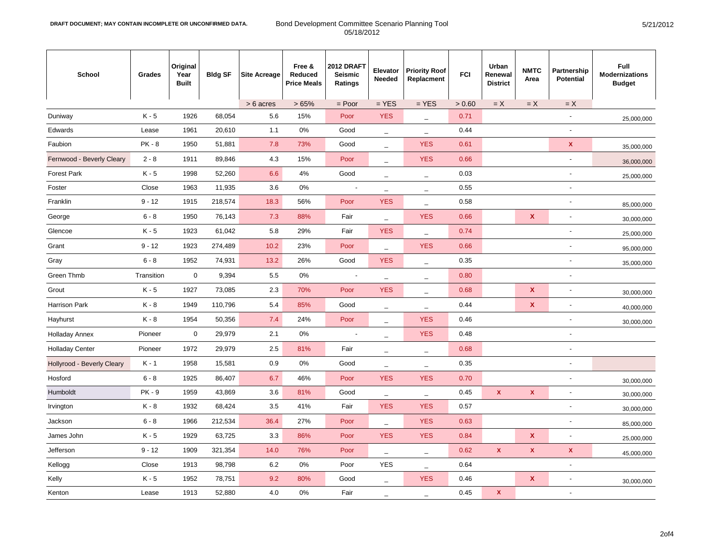| <b>School</b>              | Grades        | Original<br>Year<br><b>Built</b> | <b>Bldg SF</b> | <b>Site Acreage</b> | Free &<br>Reduced<br><b>Price Meals</b> | 2012 DRAFT<br><b>Seismic</b><br><b>Ratings</b> | Elevator<br>Needed                | <b>Priority Roof</b><br>Replacment | <b>FCI</b> | Urban<br>Renewal<br><b>District</b> | <b>NMTC</b><br>Area       | Partnership<br><b>Potential</b> | Full<br><b>Modernizations</b><br><b>Budget</b> |
|----------------------------|---------------|----------------------------------|----------------|---------------------|-----------------------------------------|------------------------------------------------|-----------------------------------|------------------------------------|------------|-------------------------------------|---------------------------|---------------------------------|------------------------------------------------|
|                            |               |                                  |                | > 6 acres           | >65%                                    | $=$ Poor                                       | $=$ YES                           | $=$ YES                            | > 0.60     | $=X$                                | $=X$                      | $=X$                            |                                                |
| Duniway                    | $K - 5$       | 1926                             | 68,054         | 5.6                 | 15%                                     | Poor                                           | <b>YES</b>                        | $\overline{\phantom{a}}$           | 0.71       |                                     |                           | ÷,                              | 25,000,000                                     |
| Edwards                    | Lease         | 1961                             | 20,610         | 1.1                 | $0\%$                                   | Good                                           | $\equiv$                          | $\equiv$                           | 0.44       |                                     |                           | $\overline{\phantom{a}}$        |                                                |
| Faubion                    | <b>PK - 8</b> | 1950                             | 51,881         | 7.8                 | 73%                                     | Good                                           | $\overline{\phantom{a}}$          | <b>YES</b>                         | 0.61       |                                     |                           | $\mathbf{x}$                    | 35,000,000                                     |
| Fernwood - Beverly Cleary  | $2 - 8$       | 1911                             | 89,846         | 4.3                 | 15%                                     | Poor                                           | $\overline{\phantom{m}}$          | <b>YES</b>                         | 0.66       |                                     |                           |                                 | 36,000,000                                     |
| <b>Forest Park</b>         | $K - 5$       | 1998                             | 52,260         | 6.6                 | 4%                                      | Good                                           | $\overline{\phantom{a}}$          | $\overline{\phantom{m}}$           | 0.03       |                                     |                           | ÷,                              | 25,000,000                                     |
| Foster                     | Close         | 1963                             | 11,935         | 3.6                 | $0\%$                                   |                                                | $\overline{\phantom{a}}$          | $\qquad \qquad -$                  | 0.55       |                                     |                           | $\overline{a}$                  |                                                |
| Franklin                   | $9 - 12$      | 1915                             | 218,574        | 18.3                | 56%                                     | Poor                                           | <b>YES</b>                        | $\qquad \qquad -$                  | 0.58       |                                     |                           | $\overline{a}$                  | 85,000,000                                     |
| George                     | $6 - 8$       | 1950                             | 76,143         | 7.3                 | 88%                                     | Fair                                           | $\overline{\phantom{a}}$          | <b>YES</b>                         | 0.66       |                                     | $\boldsymbol{\mathsf{x}}$ | $\overline{a}$                  | 30,000,000                                     |
| Glencoe                    | $K - 5$       | 1923                             | 61,042         | 5.8                 | 29%                                     | Fair                                           | <b>YES</b>                        | $\qquad \qquad -$                  | 0.74       |                                     |                           | $\overline{a}$                  | 25,000,000                                     |
| Grant                      | $9 - 12$      | 1923                             | 274,489        | 10.2                | 23%                                     | Poor                                           | $\overline{\phantom{a}}$          | <b>YES</b>                         | 0.66       |                                     |                           |                                 | 95,000,000                                     |
| Gray                       | $6 - 8$       | 1952                             | 74,931         | 13.2                | 26%                                     | Good                                           | <b>YES</b>                        | $\overline{\phantom{m}}$           | 0.35       |                                     |                           |                                 | 35,000,000                                     |
| Green Thmb                 | Transition    | $\mathbf 0$                      | 9,394          | 5.5                 | $0\%$                                   |                                                | $\overline{\phantom{a}}$          | $\overline{\phantom{0}}$           | 0.80       |                                     |                           | $\overline{a}$                  |                                                |
| Grout                      | $K - 5$       | 1927                             | 73,085         | 2.3                 | 70%                                     | Poor                                           | <b>YES</b>                        | $\overline{\phantom{a}}$           | 0.68       |                                     | $\boldsymbol{\mathsf{x}}$ | $\overline{a}$                  | 30,000,000                                     |
| Harrison Park              | $K - 8$       | 1949                             | 110,796        | 5.4                 | 85%                                     | Good                                           | $\overline{\phantom{m}}$          | $\overline{\phantom{m}}$           | 0.44       |                                     | $\boldsymbol{\mathsf{x}}$ | ٠                               | 40,000,000                                     |
| Hayhurst                   | K-8           | 1954                             | 50,356         | 7.4                 | 24%                                     | Poor                                           | L.                                | <b>YES</b>                         | 0.46       |                                     |                           | $\overline{a}$                  | 30,000,000                                     |
| <b>Holladay Annex</b>      | Pioneer       | $\mathsf 0$                      | 29,979         | 2.1                 | 0%                                      | ÷,                                             | $\overline{\phantom{a}}$          | <b>YES</b>                         | 0.48       |                                     |                           |                                 |                                                |
| <b>Holladay Center</b>     | Pioneer       | 1972                             | 29,979         | 2.5                 | 81%                                     | Fair                                           | $\overline{\phantom{m}}$          | $\overline{\phantom{0}}$           | 0.68       |                                     |                           | $\overline{a}$                  |                                                |
| Hollyrood - Beverly Cleary | $K - 1$       | 1958                             | 15,581         | 0.9                 | $0\%$                                   | Good                                           | $\hspace{1.0cm} - \hspace{1.0cm}$ | $\overline{\phantom{a}}$           | 0.35       |                                     |                           | $\overline{\phantom{a}}$        |                                                |
| Hosford                    | $6 - 8$       | 1925                             | 86,407         | 6.7                 | 46%                                     | Poor                                           | <b>YES</b>                        | <b>YES</b>                         | 0.70       |                                     |                           | ٠                               | 30,000,000                                     |
| Humboldt                   | <b>PK - 9</b> | 1959                             | 43,869         | 3.6                 | 81%                                     | Good                                           | $\overline{\phantom{a}}$          | $\overline{\phantom{a}}$           | 0.45       | $\mathbf{x}$                        | $\pmb{\mathsf{x}}$        | Ĭ.                              | 30,000,000                                     |
| Irvington                  | $K - 8$       | 1932                             | 68,424         | 3.5                 | 41%                                     | Fair                                           | <b>YES</b>                        | <b>YES</b>                         | 0.57       |                                     |                           | $\overline{a}$                  | 30,000,000                                     |
| Jackson                    | $6 - 8$       | 1966                             | 212,534        | 36.4                | 27%                                     | Poor                                           |                                   | <b>YES</b>                         | 0.63       |                                     |                           | $\overline{a}$                  | 85,000,000                                     |
| James John                 | $K - 5$       | 1929                             | 63,725         | 3.3                 | 86%                                     | Poor                                           | <b>YES</b>                        | <b>YES</b>                         | 0.84       |                                     | $\boldsymbol{\mathsf{x}}$ | $\ddot{\phantom{0}}$            | 25,000,000                                     |
| Jefferson                  | $9 - 12$      | 1909                             | 321,354        | 14.0                | 76%                                     | Poor                                           | $\overline{\phantom{a}}$          | $\overline{\phantom{0}}$           | 0.62       | $\boldsymbol{\mathsf{X}}$           | $\pmb{\mathsf{x}}$        | $\mathbf{x}$                    | 45,000,000                                     |
| Kellogg                    | Close         | 1913                             | 98,798         | 6.2                 | $0\%$                                   | Poor                                           | <b>YES</b>                        | $\qquad \qquad -$                  | 0.64       |                                     |                           |                                 |                                                |
| Kelly                      | $K - 5$       | 1952                             | 78,751         | 9.2                 | 80%                                     | Good                                           | $\overline{\phantom{a}}$          | <b>YES</b>                         | 0.46       |                                     | $\mathbf{x}$              | $\overline{a}$                  | 30,000,000                                     |
| Kenton                     | Lease         | 1913                             | 52,880         | 4.0                 | 0%                                      | Fair                                           | $\overline{\phantom{a}}$          | $\equiv$                           | 0.45       | $\mathbf{x}$                        |                           | $\overline{a}$                  |                                                |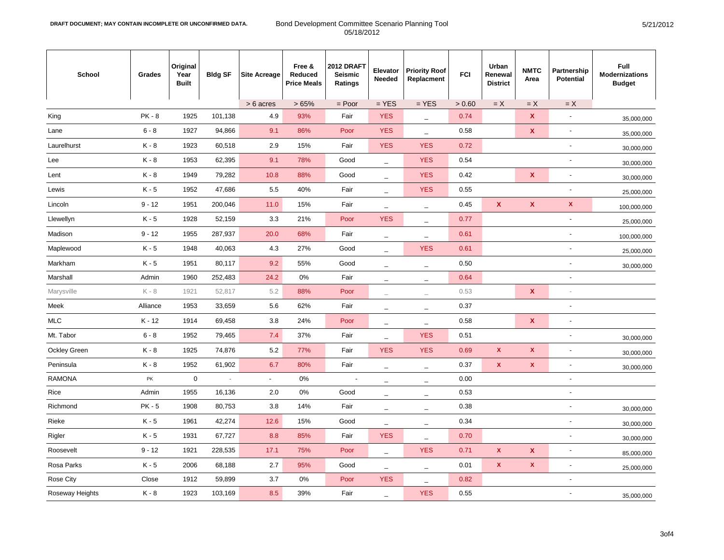| School              | Grades        | Original<br>Year<br><b>Built</b> | <b>Bldg SF</b> | <b>Site Acreage</b>      | Free &<br>Reduced<br><b>Price Meals</b> | 2012 DRAFT<br>Seismic<br>Ratings | Elevator<br>Needed       | <b>Priority Roof</b><br>Replacment | <b>FCI</b> | Urban<br>Renewal<br><b>District</b> | <b>NMTC</b><br>Area       | Partnership<br><b>Potential</b> | Full<br><b>Modernizations</b><br><b>Budget</b> |
|---------------------|---------------|----------------------------------|----------------|--------------------------|-----------------------------------------|----------------------------------|--------------------------|------------------------------------|------------|-------------------------------------|---------------------------|---------------------------------|------------------------------------------------|
|                     |               |                                  |                | > 6 acres                | >65%                                    | $=$ Poor                         | $=$ YES                  | $=$ YES                            | > 0.60     | $=X$                                | $=X$                      | $=X$                            |                                                |
| King                | <b>PK - 8</b> | 1925                             | 101,138        | 4.9                      | 93%                                     | Fair                             | <b>YES</b>               | $\overline{\phantom{0}}$           | 0.74       |                                     | $\pmb{\mathsf{x}}$        | $\blacksquare$                  | 35,000,000                                     |
| Lane                | $6 - 8$       | 1927                             | 94,866         | 9.1                      | 86%                                     | Poor                             | <b>YES</b>               | $\overline{\phantom{0}}$           | 0.58       |                                     | $\boldsymbol{\mathsf{x}}$ | $\overline{\phantom{a}}$        | 35,000,000                                     |
| Laurelhurst         | K-8           | 1923                             | 60,518         | 2.9                      | 15%                                     | Fair                             | <b>YES</b>               | <b>YES</b>                         | 0.72       |                                     |                           | $\overline{\phantom{a}}$        | 30,000,000                                     |
| Lee                 | K-8           | 1953                             | 62,395         | 9.1                      | 78%                                     | Good                             | $\qquad \qquad -$        | <b>YES</b>                         | 0.54       |                                     |                           | $\blacksquare$                  | 30,000,000                                     |
| Lent                | K - 8         | 1949                             | 79,282         | 10.8                     | 88%                                     | Good                             | $\overline{\phantom{0}}$ | <b>YES</b>                         | 0.42       |                                     | $\boldsymbol{\mathsf{x}}$ | $\overline{a}$                  | 30,000,000                                     |
| Lewis               | $K - 5$       | 1952                             | 47,686         | 5.5                      | 40%                                     | Fair                             | $\qquad \qquad -$        | <b>YES</b>                         | 0.55       |                                     |                           | ÷                               | 25,000,000                                     |
| Lincoln             | $9 - 12$      | 1951                             | 200,046        | 11.0                     | 15%                                     | Fair                             | $\overline{\phantom{0}}$ | $\overline{\phantom{0}}$           | 0.45       | $\mathbf{x}$                        | $\pmb{\mathsf{x}}$        | $\pmb{\mathsf{x}}$              | 100,000,000                                    |
| Llewellyn           | $K - 5$       | 1928                             | 52,159         | 3.3                      | 21%                                     | Poor                             | <b>YES</b>               | $\overline{\phantom{m}}$           | 0.77       |                                     |                           | ÷                               | 25,000,000                                     |
| Madison             | $9 - 12$      | 1955                             | 287,937        | 20.0                     | 68%                                     | Fair                             | $\qquad \qquad -$        | $\overline{\phantom{0}}$           | 0.61       |                                     |                           |                                 | 100,000,000                                    |
| Maplewood           | K - 5         | 1948                             | 40,063         | 4.3                      | 27%                                     | Good                             | $\qquad \qquad -$        | <b>YES</b>                         | 0.61       |                                     |                           | $\overline{\phantom{a}}$        | 25,000,000                                     |
| Markham             | K-5           | 1951                             | 80,117         | 9.2                      | 55%                                     | Good                             | $\overline{\phantom{0}}$ | $\qquad \qquad -$                  | 0.50       |                                     |                           | ٠                               | 30,000,000                                     |
| Marshall            | Admin         | 1960                             | 252,483        | 24.2                     | 0%                                      | Fair                             | $\qquad \qquad -$        | $\overline{\phantom{0}}$           | 0.64       |                                     |                           | $\overline{\phantom{a}}$        |                                                |
| Marysville          | K - 8         | 1921                             | 52,817         | 5.2                      | 88%                                     | Poor                             | $\overline{\phantom{a}}$ | $\overline{\phantom{0}}$           | 0.53       |                                     | $\mathbf{x}$              |                                 |                                                |
| Meek                | Alliance      | 1953                             | 33,659         | 5.6                      | 62%                                     | Fair                             | $\overline{\phantom{0}}$ | $\equiv$                           | 0.37       |                                     |                           | $\overline{a}$                  |                                                |
| <b>MLC</b>          | K-12          | 1914                             | 69,458         | 3.8                      | 24%                                     | Poor                             | $\overline{\phantom{a}}$ | $\overline{\phantom{a}}$           | 0.58       |                                     | $\pmb{\mathsf{x}}$        |                                 |                                                |
| Mt. Tabor           | $6 - 8$       | 1952                             | 79,465         | 7.4                      | 37%                                     | Fair                             | $\overline{\phantom{0}}$ | <b>YES</b>                         | 0.51       |                                     |                           | ÷,                              | 30,000,000                                     |
| <b>Ockley Green</b> | K - 8         | 1925                             | 74,876         | 5.2                      | 77%                                     | Fair                             | <b>YES</b>               | <b>YES</b>                         | 0.69       | $\mathbf{x}$                        | $\pmb{\mathsf{x}}$        | $\overline{\phantom{a}}$        | 30,000,000                                     |
| Peninsula           | K - 8         | 1952                             | 61,902         | 6.7                      | 80%                                     | Fair                             | $\overline{\phantom{0}}$ | $\overline{\phantom{a}}$           | 0.37       | $\pmb{\mathsf{x}}$                  | $\pmb{\mathsf{x}}$        | $\overline{\phantom{a}}$        | 30,000,000                                     |
| <b>RAMONA</b>       | PK            | $\mathbf 0$                      | ÷,             | $\overline{\phantom{a}}$ | 0%                                      |                                  | ۰                        | $\overline{\phantom{0}}$           | 0.00       |                                     |                           | ÷,                              |                                                |
| Rice                | Admin         | 1955                             | 16,136         | 2.0                      | 0%                                      | Good                             | $\overline{\phantom{0}}$ | $\overline{\phantom{0}}$           | 0.53       |                                     |                           | ÷,                              |                                                |
| Richmond            | $PK - 5$      | 1908                             | 80,753         | 3.8                      | 14%                                     | Fair                             | $\overline{\phantom{a}}$ | $\equiv$                           | 0.38       |                                     |                           | ÷                               | 30,000,000                                     |
| Rieke               | $K - 5$       | 1961                             | 42,274         | 12.6                     | 15%                                     | Good                             | $\overline{\phantom{0}}$ | $\overline{\phantom{0}}$           | 0.34       |                                     |                           | $\overline{\phantom{a}}$        | 30,000,000                                     |
| Rigler              | $K - 5$       | 1931                             | 67,727         | 8.8                      | 85%                                     | Fair                             | <b>YES</b>               | $\overline{\phantom{0}}$           | 0.70       |                                     |                           | $\overline{a}$                  | 30,000,000                                     |
| Roosevelt           | $9 - 12$      | 1921                             | 228,535        | 17.1                     | 75%                                     | Poor                             | ÷                        | <b>YES</b>                         | 0.71       | X                                   | $\boldsymbol{\mathsf{x}}$ | ÷,                              | 85,000,000                                     |
| Rosa Parks          | $K - 5$       | 2006                             | 68,188         | 2.7                      | 95%                                     | Good                             | $\qquad \qquad -$        | $\overline{\phantom{m}}$           | 0.01       | $\mathbf x$                         | $\pmb{\mathsf{x}}$        | ÷,                              | 25,000,000                                     |
| Rose City           | Close         | 1912                             | 59,899         | 3.7                      | 0%                                      | Poor                             | <b>YES</b>               | $\overline{\phantom{0}}$           | 0.82       |                                     |                           | $\overline{a}$                  |                                                |
| Roseway Heights     | K - 8         | 1923                             | 103,169        | 8.5                      | 39%                                     | Fair                             |                          | <b>YES</b>                         | 0.55       |                                     |                           |                                 | 35,000,000                                     |